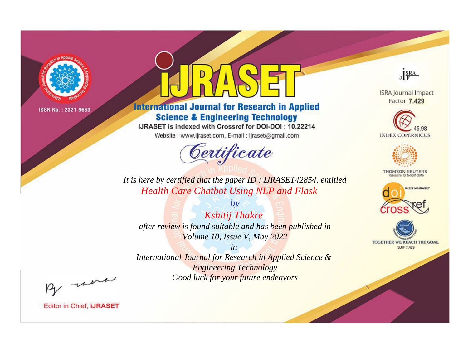

# **International Journal for Research in Applied Science & Engineering Technology**

IJRASET is indexed with Crossref for DOI-DOI: 10.22214

Website: www.ijraset.com, E-mail: ijraset@gmail.com



JERA

**ISRA Journal Impact** Factor: 7.429





**THOMSON REUTERS** 



TOGETHER WE REACH THE GOAL **SJIF 7.429** 

*It is here by certified that the paper ID : IJRASET42854, entitled Health Care Chatbot Using NLP and Flask*

*by Kshitij Thakre after review is found suitable and has been published in Volume 10, Issue V, May 2022*

*in* 

*International Journal for Research in Applied Science & Engineering Technology Good luck for your future endeavors*

By morn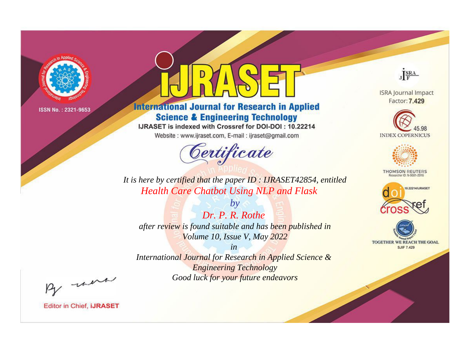

# **International Journal for Research in Applied Science & Engineering Technology**

IJRASET is indexed with Crossref for DOI-DOI: 10.22214

Website: www.ijraset.com, E-mail: ijraset@gmail.com



JERA

**ISRA Journal Impact** Factor: 7.429





**THOMSON REUTERS** 



TOGETHER WE REACH THE GOAL **SJIF 7.429** 

*It is here by certified that the paper ID : IJRASET42854, entitled Health Care Chatbot Using NLP and Flask*

*Dr. P. R. Rothe after review is found suitable and has been published in Volume 10, Issue V, May 2022*

*by*

*in* 

*International Journal for Research in Applied Science & Engineering Technology Good luck for your future endeavors*

By morn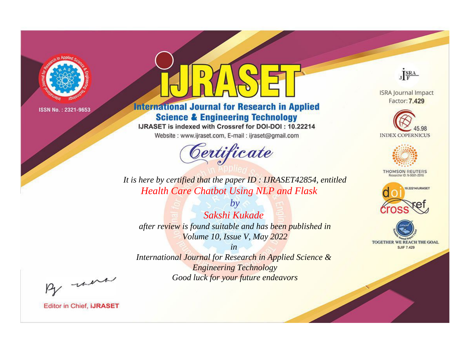

# **International Journal for Research in Applied Science & Engineering Technology**

IJRASET is indexed with Crossref for DOI-DOI: 10.22214

Website: www.ijraset.com, E-mail: ijraset@gmail.com



JERA

**ISRA Journal Impact** Factor: 7.429





**THOMSON REUTERS** 



TOGETHER WE REACH THE GOAL **SJIF 7.429** 

*It is here by certified that the paper ID : IJRASET42854, entitled Health Care Chatbot Using NLP and Flask*

*by Sakshi Kukade after review is found suitable and has been published in Volume 10, Issue V, May 2022*

*in* 

*International Journal for Research in Applied Science & Engineering Technology Good luck for your future endeavors*

By morn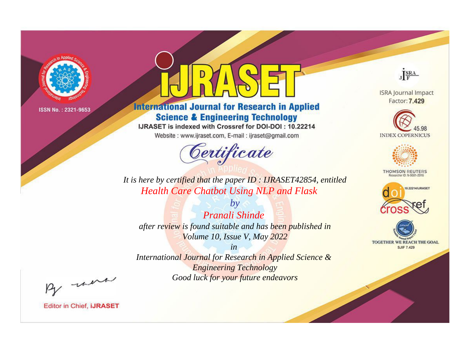

# **International Journal for Research in Applied Science & Engineering Technology**

IJRASET is indexed with Crossref for DOI-DOI: 10.22214

Website: www.ijraset.com, E-mail: ijraset@gmail.com



JERA

**ISRA Journal Impact** Factor: 7.429





**THOMSON REUTERS** 



TOGETHER WE REACH THE GOAL **SJIF 7.429** 

*It is here by certified that the paper ID : IJRASET42854, entitled Health Care Chatbot Using NLP and Flask*

*by Pranali Shinde after review is found suitable and has been published in Volume 10, Issue V, May 2022*

*in* 

*International Journal for Research in Applied Science & Engineering Technology Good luck for your future endeavors*

By morn